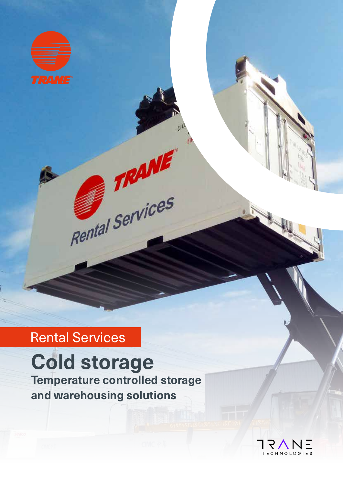

## Rental Services

# **Cold storage**

**Temperature controlled storage and warehousing solutions**

Rental Services

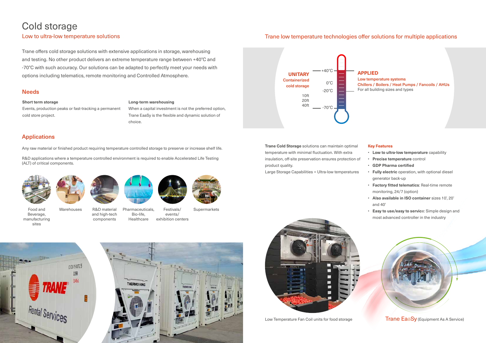## Cold storage

#### Low to ultra-low temperature solutions

Trane offers cold storage solutions with extensive applications in storage, warehousing and testing. No other product delivers an extreme temperature range between +40°C and -70°C with such accuracy. Our solutions can be adapted to perfectly meet your needs with options including telematics, remote monitoring and Controlled Atmosphere.

#### **Needs**

#### **Short term storage**

Events, production peaks or fast-tracking a permanent cold store project.

#### **Long-term warehousing**

When a capital investment is not the preferred option, Trane EaaSy is the flexible and dynamic solution of choice.

#### Applications





Warehouses R&D material

and high-tech components



Festivals/ events/ exhibition centers



**Supermarkets** 



Any raw material or finished product requiring temperature controlled storage to preserve or increase shelf life.

R&D applications where a temperature controlled environment is required to enable Accelerated Life Testing (ALT) of critical components.



**Trane Cold Storage** solutions can maintain optimal temperature with minimal fluctuation. With extra insulation, off-site preservation ensures protection of product quality.

Large Storage Capabilities + Ultra-low temperatures





Low Temperature Fan Coil units for food storage Trane EaaSy (Equipment As A Service)

#### **Key Features**

- **Low to ultra-low temperature** capability
- **Precise temperature** control
- **GDP Pharma certified**
- **Fully electric** operation, with optional diesel generator back-up
- **Factory fitted telematics**: Real-time remote monitoring, 24/7 (option)
- **Also available in ISO container** sizes 10', 20' and 40'
- **Easy to use/easy to servic**e: Simple design and most advanced controller in the industry



#### Trane low temperature technologies offer solutions for multiple applications

#### **APPLIED**



Low temperature systems Chillers / Boilers / Heat Pumps / Fancoils / AHUs For all building sizes and types